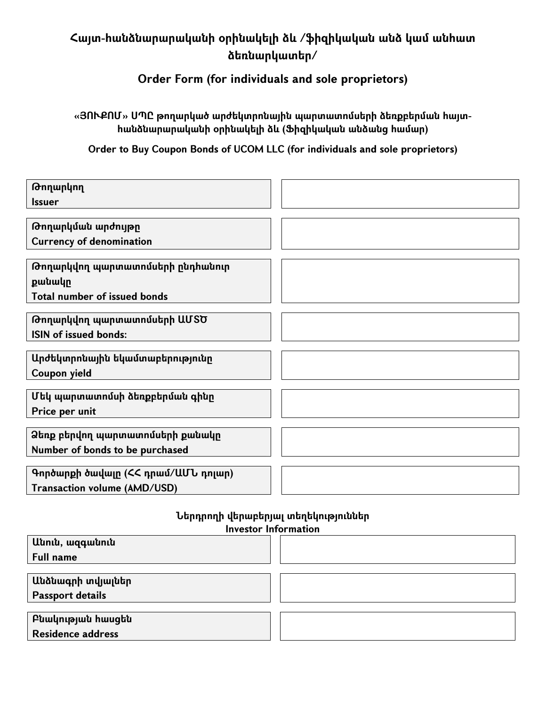## **Հայտ-հանձնարարականի օրինակելի ձև /ֆ իզիկական անձ կամ անհատ ձեռնարկատեր/**

**O rder Form (for individuals and sole proprietors)**

**«Յ Ո Ւ Ք Ո Մ » Ս Պ Ը թ ողարկած արժեկտրոնային պ արտատոմսերի ձեռքբերման հայտհանձնարարականի օրինակելի ձև (Ֆ իզիկական անձանց համար)**

**O rder to B uy C oupon B onds of U C O M LLC (for individuals and sole proprietors)**

| Թողարկող                                               |  |
|--------------------------------------------------------|--|
| <i><u><b>Issuer</b></u></i>                            |  |
| Թողարկման արժույթը                                     |  |
| <b>Currency of denomination</b>                        |  |
| Թողարկվող պարտատոմսերի ընդհանուր                       |  |
| քանակը                                                 |  |
| <b>Total number of issued bonds</b>                    |  |
| Թողարկվող պարտատոմսերի ԱՄՏԾ                            |  |
| <b>ISIN of issued bonds:</b>                           |  |
|                                                        |  |
| Արժեկտրոնային եկամտաբերությունը<br><b>Coupon yield</b> |  |
|                                                        |  |
| Մեկ պարտատոմսի ձեռքբերման գինը                         |  |
| Price per unit                                         |  |
| Ձեռք բերվող պարտատոմսերի քանակը                        |  |
| Number of bonds to be purchased                        |  |
| Գործարքի ծավալը (ՀՀ դրամ/ԱՄՆ դոլար)                    |  |
| Transaction volume (AMD/USD)                           |  |

**Ն երդրողի վերաբերյալտեղեկութ յուններ Investor Inform ation**

| Անուն, ազգանուն          |  |
|--------------------------|--|
| <b>Full name</b>         |  |
|                          |  |
| Անձնագրի տվյալներ        |  |
| <b>Passport details</b>  |  |
|                          |  |
| Բնակության հասցեն        |  |
| <b>Residence address</b> |  |